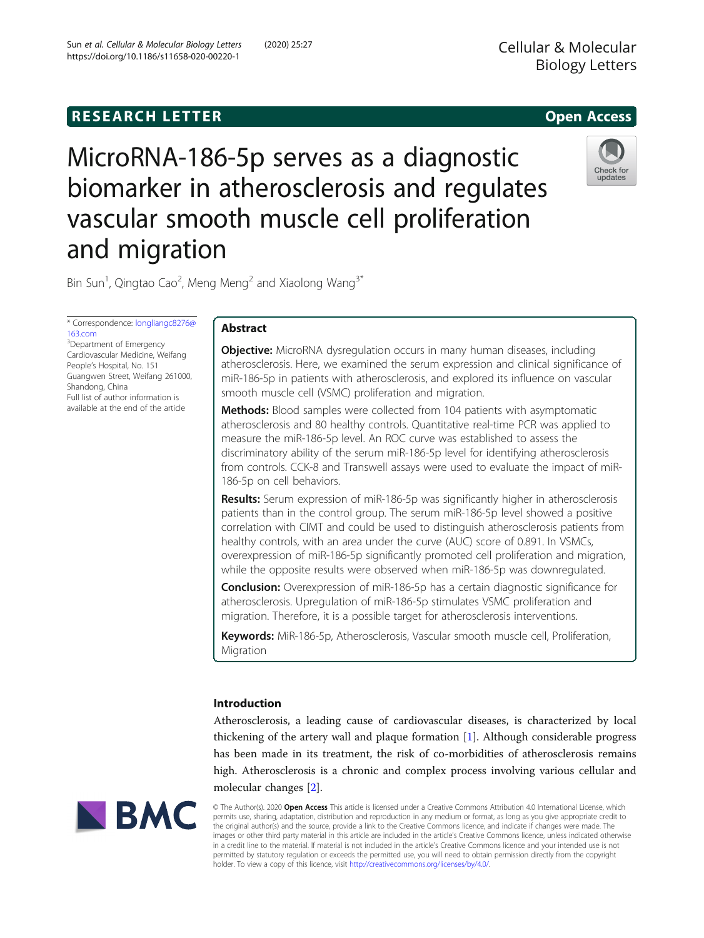# **RESEARCH LETTER CHIPS AND EXAMPLE A** CHIPS AND THE SERIES OPEN ACCESS



MicroRNA-186-5p serves as a diagnostic biomarker in atherosclerosis and regulates vascular smooth muscle cell proliferation and migration

Bin Sun<sup>1</sup>, Qingtao Cao<sup>2</sup>, Meng Meng<sup>2</sup> and Xiaolong Wang<sup>3\*</sup>

\* Correspondence: [longliangc8276@](mailto:longliangc8276@163.com) [163.com](mailto:longliangc8276@163.com) <sup>3</sup>Department of Emergency Cardiovascular Medicine, Weifang People's Hospital, No. 151 Guangwen Street, Weifang 261000, Shandong, China

Full list of author information is available at the end of the article Abstract

**Objective:** MicroRNA dysregulation occurs in many human diseases, including atherosclerosis. Here, we examined the serum expression and clinical significance of miR-186-5p in patients with atherosclerosis, and explored its influence on vascular smooth muscle cell (VSMC) proliferation and migration.

**Methods:** Blood samples were collected from 104 patients with asymptomatic atherosclerosis and 80 healthy controls. Quantitative real-time PCR was applied to measure the miR-186-5p level. An ROC curve was established to assess the discriminatory ability of the serum miR-186-5p level for identifying atherosclerosis from controls. CCK-8 and Transwell assays were used to evaluate the impact of miR-186-5p on cell behaviors.

Results: Serum expression of miR-186-5p was significantly higher in atherosclerosis patients than in the control group. The serum miR-186-5p level showed a positive correlation with CIMT and could be used to distinguish atherosclerosis patients from healthy controls, with an area under the curve (AUC) score of 0.891. In VSMCs, overexpression of miR-186-5p significantly promoted cell proliferation and migration, while the opposite results were observed when miR-186-5p was downregulated.

**Conclusion:** Overexpression of miR-186-5p has a certain diagnostic significance for atherosclerosis. Upregulation of miR-186-5p stimulates VSMC proliferation and migration. Therefore, it is a possible target for atherosclerosis interventions.

Keywords: MiR-186-5p, Atherosclerosis, Vascular smooth muscle cell, Proliferation, Migration

# Introduction

Atherosclerosis, a leading cause of cardiovascular diseases, is characterized by local thickening of the artery wall and plaque formation [\[1](#page-7-0)]. Although considerable progress has been made in its treatment, the risk of co-morbidities of atherosclerosis remains high. Atherosclerosis is a chronic and complex process involving various cellular and molecular changes [[2\]](#page-7-0).



© The Author(s). 2020 Open Access This article is licensed under a Creative Commons Attribution 4.0 International License, which permits use, sharing, adaptation, distribution and reproduction in any medium or format, as long as you give appropriate credit to the original author(s) and the source, provide a link to the Creative Commons licence, and indicate if changes were made. The images or other third party material in this article are included in the article's Creative Commons licence, unless indicated otherwise in a credit line to the material. If material is not included in the article's Creative Commons licence and your intended use is not permitted by statutory regulation or exceeds the permitted use, you will need to obtain permission directly from the copyright holder. To view a copy of this licence, visit [http://creativecommons.org/licenses/by/4.0/.](http://creativecommons.org/licenses/by/4.0/)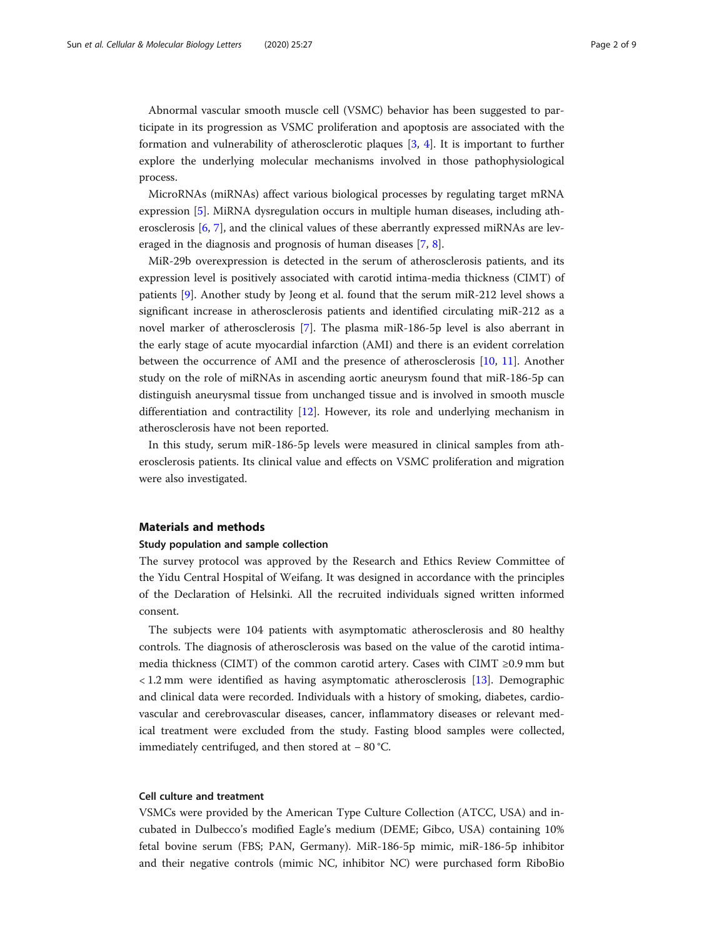Abnormal vascular smooth muscle cell (VSMC) behavior has been suggested to participate in its progression as VSMC proliferation and apoptosis are associated with the formation and vulnerability of atherosclerotic plaques [[3,](#page-7-0) [4\]](#page-7-0). It is important to further explore the underlying molecular mechanisms involved in those pathophysiological process.

MicroRNAs (miRNAs) affect various biological processes by regulating target mRNA expression [[5\]](#page-7-0). MiRNA dysregulation occurs in multiple human diseases, including atherosclerosis [[6,](#page-7-0) [7\]](#page-7-0), and the clinical values of these aberrantly expressed miRNAs are leveraged in the diagnosis and prognosis of human diseases [[7,](#page-7-0) [8\]](#page-7-0).

MiR-29b overexpression is detected in the serum of atherosclerosis patients, and its expression level is positively associated with carotid intima-media thickness (CIMT) of patients [\[9](#page-7-0)]. Another study by Jeong et al. found that the serum miR-212 level shows a significant increase in atherosclerosis patients and identified circulating miR-212 as a novel marker of atherosclerosis [\[7\]](#page-7-0). The plasma miR-186-5p level is also aberrant in the early stage of acute myocardial infarction (AMI) and there is an evident correlation between the occurrence of AMI and the presence of atherosclerosis [\[10,](#page-7-0) [11\]](#page-7-0). Another study on the role of miRNAs in ascending aortic aneurysm found that miR-186-5p can distinguish aneurysmal tissue from unchanged tissue and is involved in smooth muscle differentiation and contractility [\[12](#page-7-0)]. However, its role and underlying mechanism in atherosclerosis have not been reported.

In this study, serum miR-186-5p levels were measured in clinical samples from atherosclerosis patients. Its clinical value and effects on VSMC proliferation and migration were also investigated.

#### Materials and methods

## Study population and sample collection

The survey protocol was approved by the Research and Ethics Review Committee of the Yidu Central Hospital of Weifang. It was designed in accordance with the principles of the Declaration of Helsinki. All the recruited individuals signed written informed consent.

The subjects were 104 patients with asymptomatic atherosclerosis and 80 healthy controls. The diagnosis of atherosclerosis was based on the value of the carotid intimamedia thickness (CIMT) of the common carotid artery. Cases with CIMT  $\geq$ 0.9 mm but < 1.2 mm were identified as having asymptomatic atherosclerosis [\[13](#page-7-0)]. Demographic and clinical data were recorded. Individuals with a history of smoking, diabetes, cardiovascular and cerebrovascular diseases, cancer, inflammatory diseases or relevant medical treatment were excluded from the study. Fasting blood samples were collected, immediately centrifuged, and then stored at − 80 °C.

#### Cell culture and treatment

VSMCs were provided by the American Type Culture Collection (ATCC, USA) and incubated in Dulbecco's modified Eagle's medium (DEME; Gibco, USA) containing 10% fetal bovine serum (FBS; PAN, Germany). MiR-186-5p mimic, miR-186-5p inhibitor and their negative controls (mimic NC, inhibitor NC) were purchased form RiboBio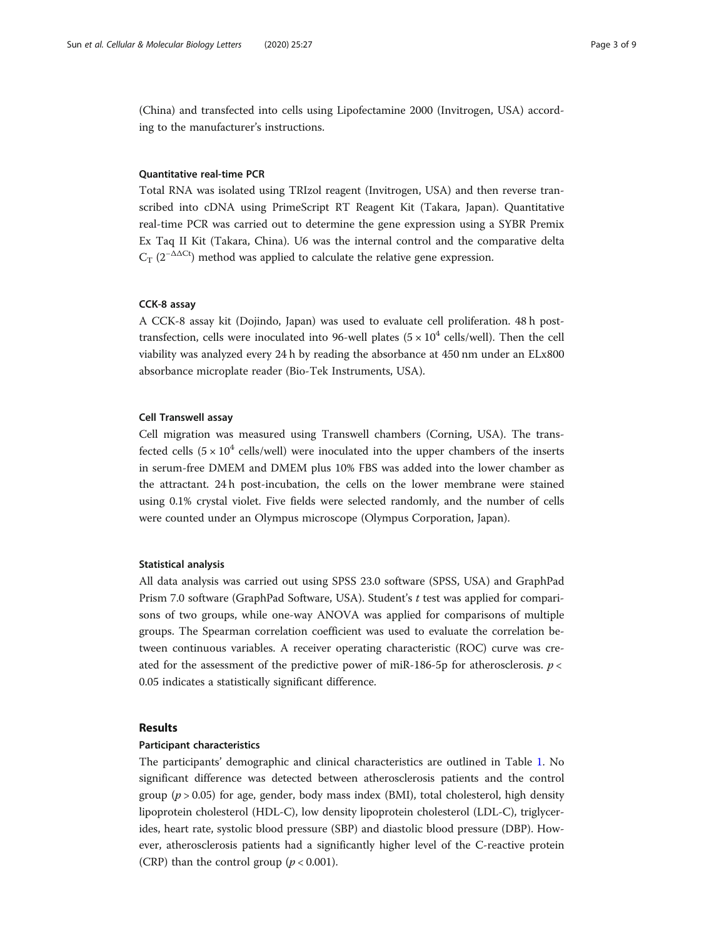(China) and transfected into cells using Lipofectamine 2000 (Invitrogen, USA) according to the manufacturer's instructions.

## Quantitative real-time PCR

Total RNA was isolated using TRIzol reagent (Invitrogen, USA) and then reverse transcribed into cDNA using PrimeScript RT Reagent Kit (Takara, Japan). Quantitative real-time PCR was carried out to determine the gene expression using a SYBR Premix Ex Taq II Kit (Takara, China). U6 was the internal control and the comparative delta  $C_T$  (2<sup>−∆∆Ct</sup>) method was applied to calculate the relative gene expression.

#### CCK-8 assay

A CCK-8 assay kit (Dojindo, Japan) was used to evaluate cell proliferation. 48 h posttransfection, cells were inoculated into 96-well plates ( $5 \times 10^4$  cells/well). Then the cell viability was analyzed every 24 h by reading the absorbance at 450 nm under an ELx800 absorbance microplate reader (Bio-Tek Instruments, USA).

## Cell Transwell assay

Cell migration was measured using Transwell chambers (Corning, USA). The transfected cells  $(5 \times 10^4$  cells/well) were inoculated into the upper chambers of the inserts in serum-free DMEM and DMEM plus 10% FBS was added into the lower chamber as the attractant. 24 h post-incubation, the cells on the lower membrane were stained using 0.1% crystal violet. Five fields were selected randomly, and the number of cells were counted under an Olympus microscope (Olympus Corporation, Japan).

#### Statistical analysis

All data analysis was carried out using SPSS 23.0 software (SPSS, USA) and GraphPad Prism 7.0 software (GraphPad Software, USA). Student's t test was applied for comparisons of two groups, while one-way ANOVA was applied for comparisons of multiple groups. The Spearman correlation coefficient was used to evaluate the correlation between continuous variables. A receiver operating characteristic (ROC) curve was created for the assessment of the predictive power of miR-186-5p for atherosclerosis.  $p \lt$ 0.05 indicates a statistically significant difference.

## Results

## Participant characteristics

The participants' demographic and clinical characteristics are outlined in Table [1](#page-3-0). No significant difference was detected between atherosclerosis patients and the control group ( $p > 0.05$ ) for age, gender, body mass index (BMI), total cholesterol, high density lipoprotein cholesterol (HDL-C), low density lipoprotein cholesterol (LDL-C), triglycerides, heart rate, systolic blood pressure (SBP) and diastolic blood pressure (DBP). However, atherosclerosis patients had a significantly higher level of the C-reactive protein (CRP) than the control group ( $p < 0.001$ ).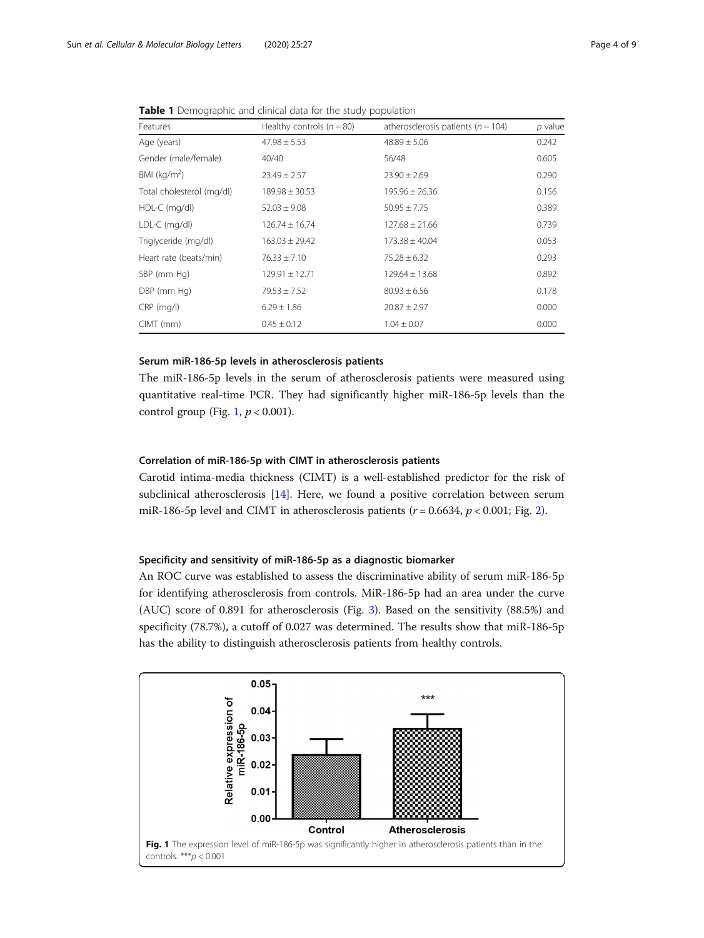#### <span id="page-3-0"></span>**Table 1** Demographic and clinical data for the study population

| Features                  | Healthy controls $(n = 80)$ | atherosclerosis patients ( $n = 104$ ) | $p$ value |
|---------------------------|-----------------------------|----------------------------------------|-----------|
| Age (years)               | $47.98 \pm 5.53$            | $48.89 \pm 5.06$                       | 0.242     |
| Gender (male/female)      | 40/40                       | 56/48                                  | 0.605     |
| BMI ( $kg/m2$ )           | $23.49 \pm 2.57$            | $23.90 \pm 2.69$                       | 0.290     |
| Total cholesterol (mg/dl) | $189.98 \pm 30.53$          | $195.96 \pm 26.36$                     | 0.156     |
| HDL-C (mg/dl)             | $52.03 \pm 9.08$            | $50.95 \pm 7.75$                       | 0.389     |
| LDL-C (mg/dl)             | $126.74 \pm 16.74$          | $127.68 \pm 21.66$                     | 0.739     |
| Triglyceride (mg/dl)      | $163.03 \pm 29.42$          | $173.38 \pm 40.04$                     | 0.053     |
| Heart rate (beats/min)    | $76.33 \pm 7.10$            | $75.28 \pm 6.32$                       | 0.293     |
| SBP (mm Hg)               | $129.91 \pm 12.71$          | $129.64 \pm 13.68$                     | 0.892     |
| DBP (mm Hg)               | $79.53 \pm 7.52$            | $80.93 \pm 6.56$                       | 0.178     |
| $CRP$ (mg/l)              | $6.29 \pm 1.86$             | $20.87 \pm 2.97$                       | 0.000     |
| $CIMT$ (mm)               | $0.45 \pm 0.12$             | $1.04 \pm 0.07$                        | 0.000     |

## Serum miR-186-5p levels in atherosclerosis patients

The miR-186-5p levels in the serum of atherosclerosis patients were measured using quantitative real-time PCR. They had significantly higher miR-186-5p levels than the control group (Fig. 1,  $p < 0.001$ ).

## Correlation of miR-186-5p with CIMT in atherosclerosis patients

Carotid intima-media thickness (CIMT) is a well-established predictor for the risk of subclinical atherosclerosis [\[14](#page-7-0)]. Here, we found a positive correlation between serum miR-186-5p level and CIMT in atherosclerosis patients ( $r = 0.6634$ ,  $p < 0.001$ ; Fig. [2](#page-4-0)).

## Specificity and sensitivity of miR-186-5p as a diagnostic biomarker

An ROC curve was established to assess the discriminative ability of serum miR-186-5p for identifying atherosclerosis from controls. MiR-186-5p had an area under the curve (AUC) score of 0.891 for atherosclerosis (Fig. [3\)](#page-4-0). Based on the sensitivity (88.5%) and specificity (78.7%), a cutoff of 0.027 was determined. The results show that miR-186-5p has the ability to distinguish atherosclerosis patients from healthy controls.

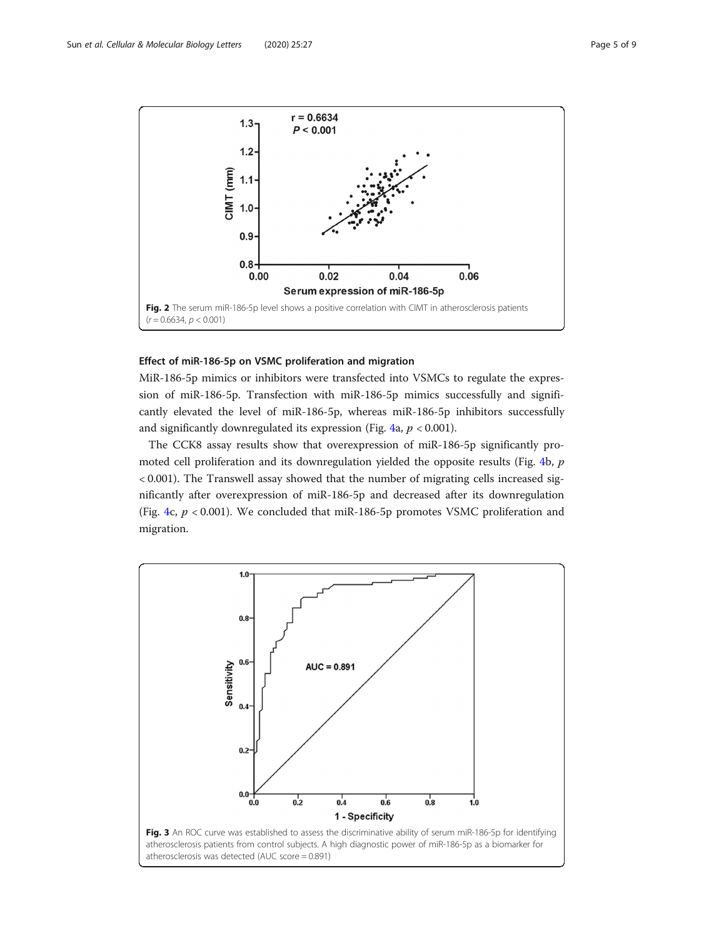<span id="page-4-0"></span>

## Effect of miR-186-5p on VSMC proliferation and migration

MiR-186-5p mimics or inhibitors were transfected into VSMCs to regulate the expression of miR-186-5p. Transfection with miR-186-5p mimics successfully and significantly elevated the level of miR-186-5p, whereas miR-186-5p inhibitors successfully and significantly downregulated its expression (Fig. [4a](#page-5-0),  $p < 0.001$ ).

The CCK8 assay results show that overexpression of miR-186-5p significantly pro-moted cell proliferation and its downregulation yielded the opposite results (Fig. [4b](#page-5-0), p < 0.001). The Transwell assay showed that the number of migrating cells increased significantly after overexpression of miR-186-5p and decreased after its downregulation (Fig. [4c](#page-5-0),  $p < 0.001$ ). We concluded that miR-186-5p promotes VSMC proliferation and migration.

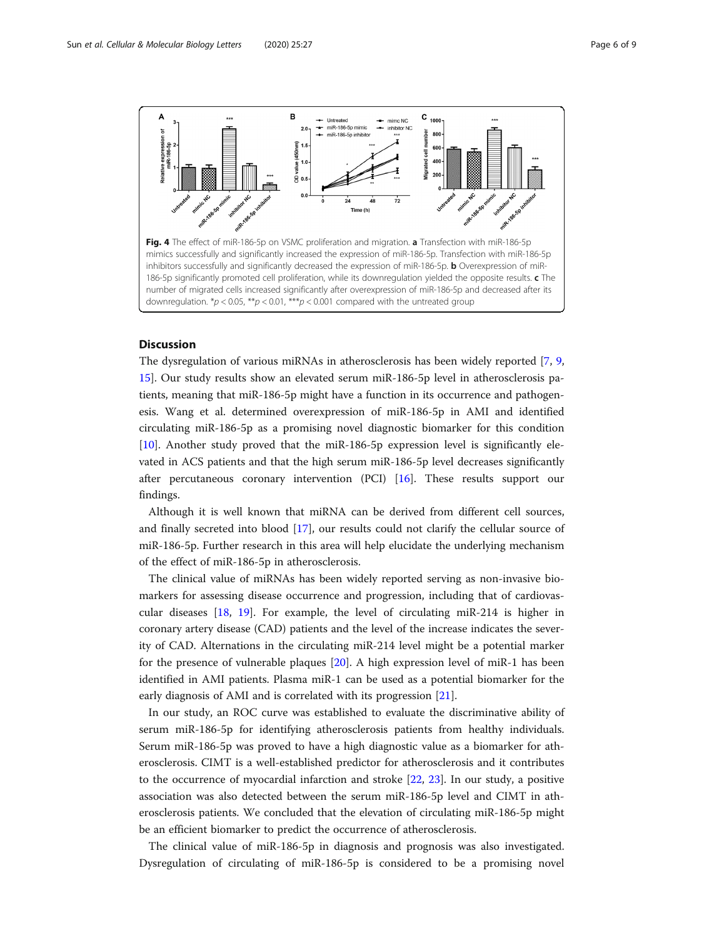<span id="page-5-0"></span>

## **Discussion**

The dysregulation of various miRNAs in atherosclerosis has been widely reported [\[7](#page-7-0), [9](#page-7-0), [15](#page-7-0)]. Our study results show an elevated serum miR-186-5p level in atherosclerosis patients, meaning that miR-186-5p might have a function in its occurrence and pathogenesis. Wang et al. determined overexpression of miR-186-5p in AMI and identified circulating miR-186-5p as a promising novel diagnostic biomarker for this condition [[10\]](#page-7-0). Another study proved that the miR-186-5p expression level is significantly elevated in ACS patients and that the high serum miR-186-5p level decreases significantly after percutaneous coronary intervention (PCI) [\[16](#page-7-0)]. These results support our findings.

Although it is well known that miRNA can be derived from different cell sources, and finally secreted into blood [\[17\]](#page-7-0), our results could not clarify the cellular source of miR-186-5p. Further research in this area will help elucidate the underlying mechanism of the effect of miR-186-5p in atherosclerosis.

The clinical value of miRNAs has been widely reported serving as non-invasive biomarkers for assessing disease occurrence and progression, including that of cardiovascular diseases [\[18,](#page-8-0) [19](#page-8-0)]. For example, the level of circulating miR-214 is higher in coronary artery disease (CAD) patients and the level of the increase indicates the severity of CAD. Alternations in the circulating miR-214 level might be a potential marker for the presence of vulnerable plaques [[20\]](#page-8-0). A high expression level of miR-1 has been identified in AMI patients. Plasma miR-1 can be used as a potential biomarker for the early diagnosis of AMI and is correlated with its progression [[21\]](#page-8-0).

In our study, an ROC curve was established to evaluate the discriminative ability of serum miR-186-5p for identifying atherosclerosis patients from healthy individuals. Serum miR-186-5p was proved to have a high diagnostic value as a biomarker for atherosclerosis. CIMT is a well-established predictor for atherosclerosis and it contributes to the occurrence of myocardial infarction and stroke [\[22](#page-8-0), [23\]](#page-8-0). In our study, a positive association was also detected between the serum miR-186-5p level and CIMT in atherosclerosis patients. We concluded that the elevation of circulating miR-186-5p might be an efficient biomarker to predict the occurrence of atherosclerosis.

The clinical value of miR-186-5p in diagnosis and prognosis was also investigated. Dysregulation of circulating of miR-186-5p is considered to be a promising novel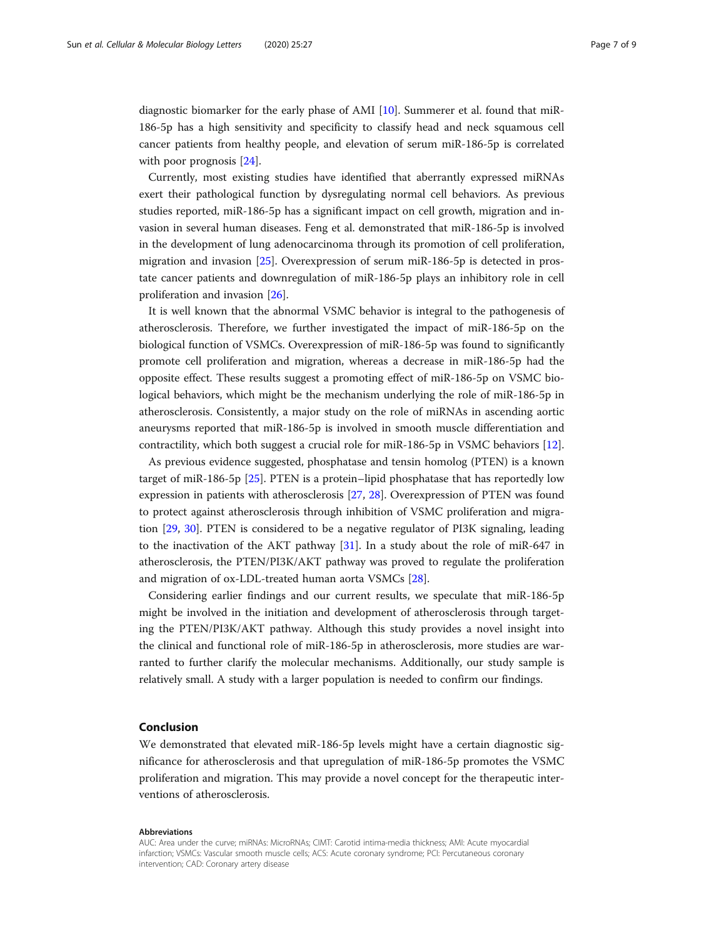diagnostic biomarker for the early phase of AMI [[10\]](#page-7-0). Summerer et al. found that miR-186-5p has a high sensitivity and specificity to classify head and neck squamous cell cancer patients from healthy people, and elevation of serum miR-186-5p is correlated with poor prognosis [\[24\]](#page-8-0).

Currently, most existing studies have identified that aberrantly expressed miRNAs exert their pathological function by dysregulating normal cell behaviors. As previous studies reported, miR-186-5p has a significant impact on cell growth, migration and invasion in several human diseases. Feng et al. demonstrated that miR-186-5p is involved in the development of lung adenocarcinoma through its promotion of cell proliferation, migration and invasion [[25](#page-8-0)]. Overexpression of serum miR-186-5p is detected in prostate cancer patients and downregulation of miR-186-5p plays an inhibitory role in cell proliferation and invasion [\[26\]](#page-8-0).

It is well known that the abnormal VSMC behavior is integral to the pathogenesis of atherosclerosis. Therefore, we further investigated the impact of miR-186-5p on the biological function of VSMCs. Overexpression of miR-186-5p was found to significantly promote cell proliferation and migration, whereas a decrease in miR-186-5p had the opposite effect. These results suggest a promoting effect of miR-186-5p on VSMC biological behaviors, which might be the mechanism underlying the role of miR-186-5p in atherosclerosis. Consistently, a major study on the role of miRNAs in ascending aortic aneurysms reported that miR-186-5p is involved in smooth muscle differentiation and contractility, which both suggest a crucial role for miR-186-5p in VSMC behaviors [\[12](#page-7-0)].

As previous evidence suggested, phosphatase and tensin homolog (PTEN) is a known target of miR-186-5p [\[25\]](#page-8-0). PTEN is a protein–lipid phosphatase that has reportedly low expression in patients with atherosclerosis [\[27,](#page-8-0) [28\]](#page-8-0). Overexpression of PTEN was found to protect against atherosclerosis through inhibition of VSMC proliferation and migration [[29](#page-8-0), [30\]](#page-8-0). PTEN is considered to be a negative regulator of PI3K signaling, leading to the inactivation of the AKT pathway [[31\]](#page-8-0). In a study about the role of miR-647 in atherosclerosis, the PTEN/PI3K/AKT pathway was proved to regulate the proliferation and migration of ox-LDL-treated human aorta VSMCs [[28](#page-8-0)].

Considering earlier findings and our current results, we speculate that miR-186-5p might be involved in the initiation and development of atherosclerosis through targeting the PTEN/PI3K/AKT pathway. Although this study provides a novel insight into the clinical and functional role of miR-186-5p in atherosclerosis, more studies are warranted to further clarify the molecular mechanisms. Additionally, our study sample is relatively small. A study with a larger population is needed to confirm our findings.

## Conclusion

We demonstrated that elevated miR-186-5p levels might have a certain diagnostic significance for atherosclerosis and that upregulation of miR-186-5p promotes the VSMC proliferation and migration. This may provide a novel concept for the therapeutic interventions of atherosclerosis.

#### Abbreviations

AUC: Area under the curve; miRNAs: MicroRNAs; CIMT: Carotid intima-media thickness; AMI: Acute myocardial infarction; VSMCs: Vascular smooth muscle cells; ACS: Acute coronary syndrome; PCI: Percutaneous coronary intervention; CAD: Coronary artery disease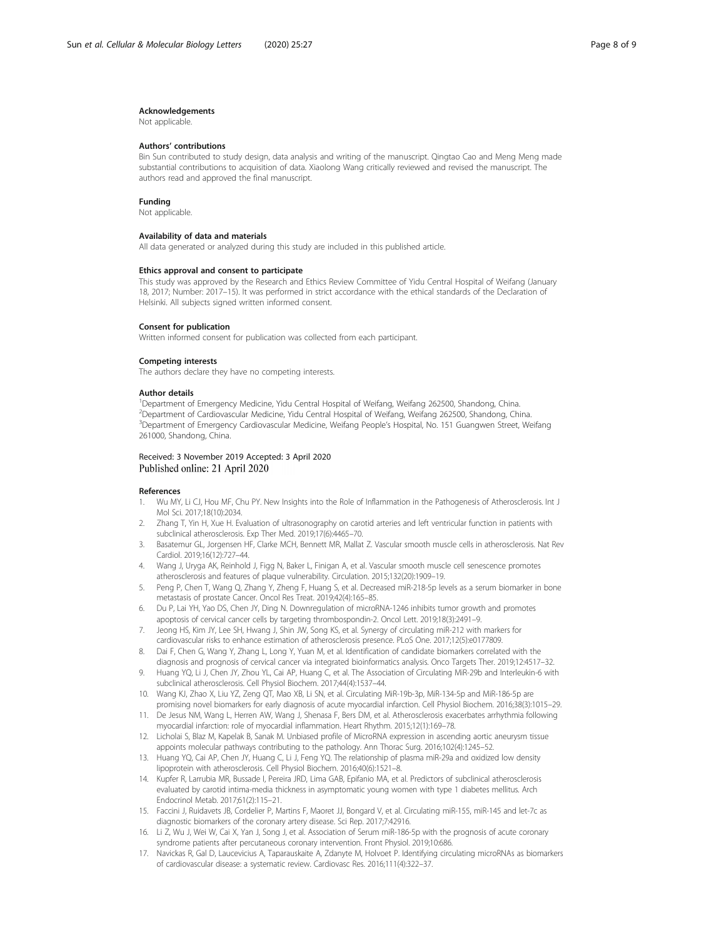#### <span id="page-7-0"></span>Acknowledgements

Not applicable.

#### Authors' contributions

Bin Sun contributed to study design, data analysis and writing of the manuscript. Qingtao Cao and Meng Meng made substantial contributions to acquisition of data. Xiaolong Wang critically reviewed and revised the manuscript. The authors read and approved the final manuscript.

#### Funding

Not applicable.

#### Availability of data and materials

All data generated or analyzed during this study are included in this published article.

#### Ethics approval and consent to participate

This study was approved by the Research and Ethics Review Committee of Yidu Central Hospital of Weifang (January 18, 2017; Number: 2017–15). It was performed in strict accordance with the ethical standards of the Declaration of Helsinki. All subjects signed written informed consent.

#### Consent for publication

Written informed consent for publication was collected from each participant.

#### Competing interests

The authors declare they have no competing interests.

#### Author details

<sup>1</sup>Department of Emergency Medicine, Yidu Central Hospital of Weifang, Weifang 262500, Shandong, China. <sup>2</sup>Department of Cardiovascular Medicine, Yidu Central Hospital of Weifang, Weifang 262500, Shandong, China 3 Department of Emergency Cardiovascular Medicine, Weifang People's Hospital, No. 151 Guangwen Street, Weifang 261000, Shandong, China.

#### Received: 3 November 2019 Accepted: 3 April 2020 Published online: 21 April 2020

#### References

- 1. Wu MY, Li CJ, Hou MF, Chu PY. New Insights into the Role of Inflammation in the Pathogenesis of Atherosclerosis. Int J Mol Sci. 2017;18(10):2034.
- 2. Zhang T, Yin H, Xue H. Evaluation of ultrasonography on carotid arteries and left ventricular function in patients with subclinical atherosclerosis. Exp Ther Med. 2019;17(6):4465–70.
- 3. Basatemur GL, Jorgensen HF, Clarke MCH, Bennett MR, Mallat Z. Vascular smooth muscle cells in atherosclerosis. Nat Rev Cardiol. 2019;16(12):727–44.
- 4. Wang J, Uryga AK, Reinhold J, Figg N, Baker L, Finigan A, et al. Vascular smooth muscle cell senescence promotes atherosclerosis and features of plaque vulnerability. Circulation. 2015;132(20):1909–19.
- 5. Peng P, Chen T, Wang Q, Zhang Y, Zheng F, Huang S, et al. Decreased miR-218-5p levels as a serum biomarker in bone metastasis of prostate Cancer. Oncol Res Treat. 2019;42(4):165–85.
- 6. Du P, Lai YH, Yao DS, Chen JY, Ding N. Downregulation of microRNA-1246 inhibits tumor growth and promotes apoptosis of cervical cancer cells by targeting thrombospondin-2. Oncol Lett. 2019;18(3):2491–9.
- 7. Jeong HS, Kim JY, Lee SH, Hwang J, Shin JW, Song KS, et al. Synergy of circulating miR-212 with markers for cardiovascular risks to enhance estimation of atherosclerosis presence. PLoS One. 2017;12(5):e0177809.
- 8. Dai F, Chen G, Wang Y, Zhang L, Long Y, Yuan M, et al. Identification of candidate biomarkers correlated with the diagnosis and prognosis of cervical cancer via integrated bioinformatics analysis. Onco Targets Ther. 2019;12:4517–32.
- 9. Huang YQ, Li J, Chen JY, Zhou YL, Cai AP, Huang C, et al. The Association of Circulating MiR-29b and Interleukin-6 with subclinical atherosclerosis. Cell Physiol Biochem. 2017;44(4):1537–44.
- 10. Wang KJ, Zhao X, Liu YZ, Zeng QT, Mao XB, Li SN, et al. Circulating MiR-19b-3p, MiR-134-5p and MiR-186-5p are promising novel biomarkers for early diagnosis of acute myocardial infarction. Cell Physiol Biochem. 2016;38(3):1015–29.
- 11. De Jesus NM, Wang L, Herren AW, Wang J, Shenasa F, Bers DM, et al. Atherosclerosis exacerbates arrhythmia following myocardial infarction: role of myocardial inflammation. Heart Rhythm. 2015;12(1):169–78.
- 12. Licholai S, Blaz M, Kapelak B, Sanak M. Unbiased profile of MicroRNA expression in ascending aortic aneurysm tissue appoints molecular pathways contributing to the pathology. Ann Thorac Surg. 2016;102(4):1245–52.
- 13. Huang YQ, Cai AP, Chen JY, Huang C, Li J, Feng YQ. The relationship of plasma miR-29a and oxidized low density lipoprotein with atherosclerosis. Cell Physiol Biochem. 2016;40(6):1521–8.
- 14. Kupfer R, Larrubia MR, Bussade I, Pereira JRD, Lima GAB, Epifanio MA, et al. Predictors of subclinical atherosclerosis evaluated by carotid intima-media thickness in asymptomatic young women with type 1 diabetes mellitus. Arch Endocrinol Metab. 2017;61(2):115–21.
- 15. Faccini J, Ruidavets JB, Cordelier P, Martins F, Maoret JJ, Bongard V, et al. Circulating miR-155, miR-145 and let-7c as diagnostic biomarkers of the coronary artery disease. Sci Rep. 2017;7:42916.
- 16. Li Z, Wu J, Wei W, Cai X, Yan J, Song J, et al. Association of Serum miR-186-5p with the prognosis of acute coronary syndrome patients after percutaneous coronary intervention. Front Physiol. 2019;10:686
- 17. Navickas R, Gal D, Laucevicius A, Taparauskaite A, Zdanyte M, Holvoet P. Identifying circulating microRNAs as biomarkers of cardiovascular disease: a systematic review. Cardiovasc Res. 2016;111(4):322–37.